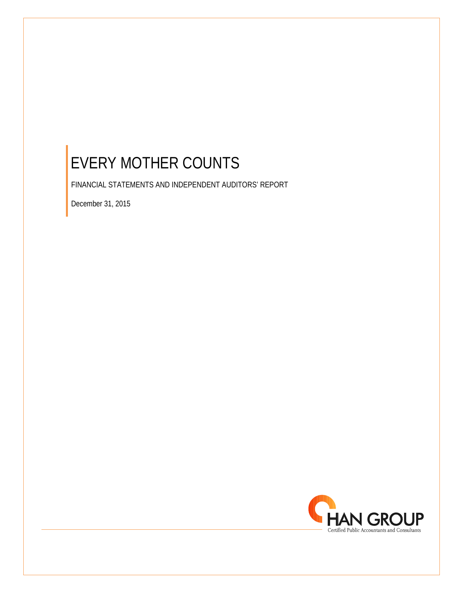FINANCIAL STATEMENTS AND INDEPENDENT AUDITORS' REPORT

December 31, 2015

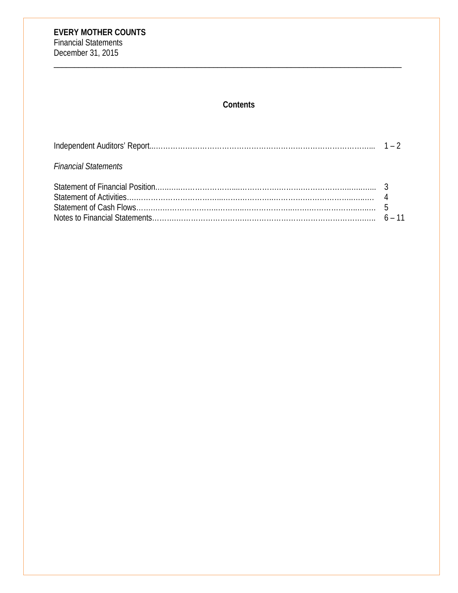# **Contents**

\_\_\_\_\_\_\_\_\_\_\_\_\_\_\_\_\_\_\_\_\_\_\_\_\_\_\_\_\_\_\_\_\_\_\_\_\_\_\_\_\_\_\_\_\_\_\_\_\_\_\_\_\_\_\_\_\_\_\_\_\_\_\_\_\_\_\_\_\_\_\_\_\_\_\_\_\_\_\_\_\_\_\_\_\_

| <b>Financial Statements</b> |  |
|-----------------------------|--|
|                             |  |
|                             |  |
|                             |  |
|                             |  |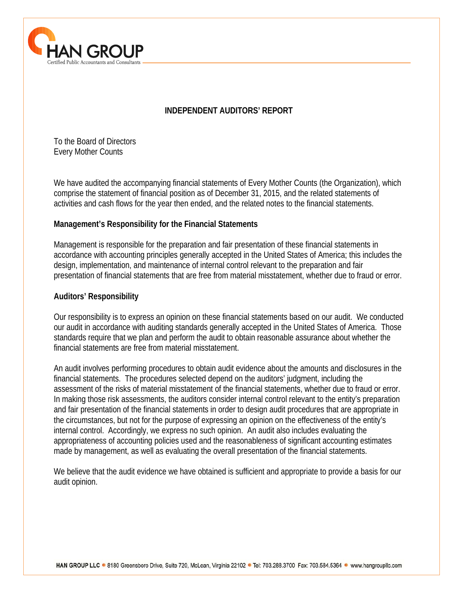

# **INDEPENDENT AUDITORS' REPORT**

To the Board of Directors Every Mother Counts

We have audited the accompanying financial statements of Every Mother Counts (the Organization), which comprise the statement of financial position as of December 31, 2015, and the related statements of activities and cash flows for the year then ended, and the related notes to the financial statements.

#### **Management's Responsibility for the Financial Statements**

Management is responsible for the preparation and fair presentation of these financial statements in accordance with accounting principles generally accepted in the United States of America; this includes the design, implementation, and maintenance of internal control relevant to the preparation and fair presentation of financial statements that are free from material misstatement, whether due to fraud or error.

#### **Auditors' Responsibility**

 $\overline{a}$ 

Our responsibility is to express an opinion on these financial statements based on our audit. We conducted our audit in accordance with auditing standards generally accepted in the United States of America. Those standards require that we plan and perform the audit to obtain reasonable assurance about whether the financial statements are free from material misstatement.

An audit involves performing procedures to obtain audit evidence about the amounts and disclosures in the financial statements. The procedures selected depend on the auditors' judgment, including the assessment of the risks of material misstatement of the financial statements, whether due to fraud or error. In making those risk assessments, the auditors consider internal control relevant to the entity's preparation and fair presentation of the financial statements in order to design audit procedures that are appropriate in the circumstances, but not for the purpose of expressing an opinion on the effectiveness of the entity's internal control. Accordingly, we express no such opinion. An audit also includes evaluating the appropriateness of accounting policies used and the reasonableness of significant accounting estimates made by management, as well as evaluating the overall presentation of the financial statements.

We believe that the audit evidence we have obtained is sufficient and appropriate to provide a basis for our audit opinion.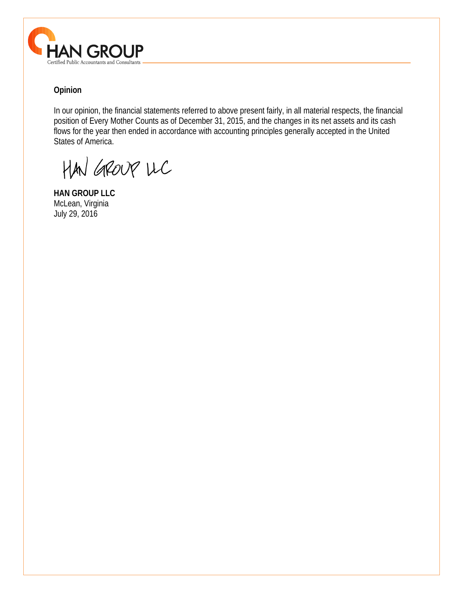

## **Opinion**

In our opinion, the financial statements referred to above present fairly, in all material respects, the financial position of Every Mother Counts as of December 31, 2015, and the changes in its net assets and its cash flows for the year then ended in accordance with accounting principles generally accepted in the United States of America.

HAN GROUP UC

**HAN GROUP LLC**  McLean, Virginia July 29, 2016

 $\overline{a}$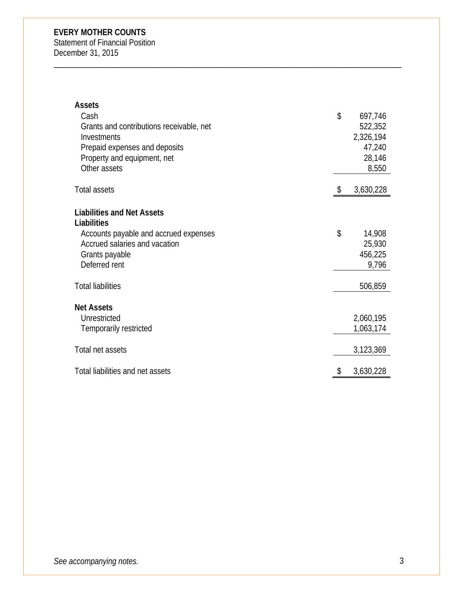Statement of Financial Position December 31, 2015

| <b>Assets</b>                            |                 |
|------------------------------------------|-----------------|
| Cash                                     | \$<br>697,746   |
| Grants and contributions receivable, net | 522,352         |
| Investments                              | 2,326,194       |
| Prepaid expenses and deposits            | 47,240          |
| Property and equipment, net              | 28,146          |
| Other assets                             | 8,550           |
|                                          |                 |
| Total assets                             | \$<br>3,630,228 |
|                                          |                 |
| <b>Liabilities and Net Assets</b>        |                 |
| Liabilities                              |                 |
| Accounts payable and accrued expenses    | \$<br>14,908    |
| Accrued salaries and vacation            | 25,930          |
| Grants payable                           | 456,225         |
| Deferred rent                            | 9,796           |
|                                          |                 |
| <b>Total liabilities</b>                 | 506,859         |
|                                          |                 |
| <b>Net Assets</b>                        |                 |
| Unrestricted                             | 2,060,195       |
| Temporarily restricted                   | 1,063,174       |
|                                          |                 |
| Total net assets                         | 3,123,369       |
|                                          |                 |
| Total liabilities and net assets         | 3,630,228       |

\_\_\_\_\_\_\_\_\_\_\_\_\_\_\_\_\_\_\_\_\_\_\_\_\_\_\_\_\_\_\_\_\_\_\_\_\_\_\_\_\_\_\_\_\_\_\_\_\_\_\_\_\_\_\_\_\_\_\_\_\_\_\_\_\_\_\_\_\_\_\_\_\_\_\_\_\_\_\_\_\_\_\_\_\_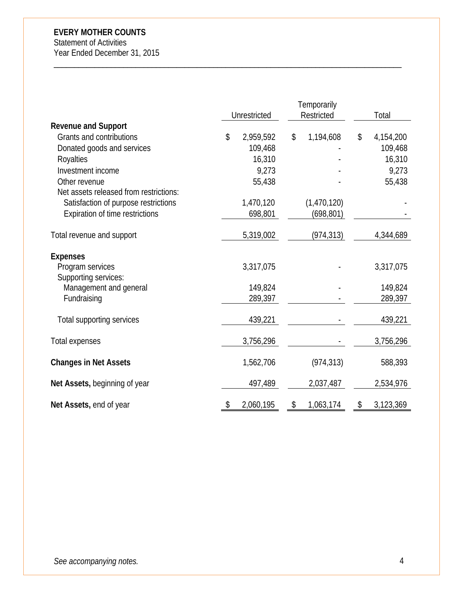Statement of Activities Year Ended December 31, 2015

|                                        | Temporarily  |           |            |             |    |           |       |  |  |  |  |
|----------------------------------------|--------------|-----------|------------|-------------|----|-----------|-------|--|--|--|--|
|                                        | Unrestricted |           | Restricted |             |    |           | Total |  |  |  |  |
| <b>Revenue and Support</b>             |              |           |            |             |    |           |       |  |  |  |  |
| Grants and contributions               | \$           | 2,959,592 | \$         | 1,194,608   | \$ | 4,154,200 |       |  |  |  |  |
| Donated goods and services             |              | 109,468   |            |             |    | 109,468   |       |  |  |  |  |
| Royalties                              |              | 16,310    |            |             |    | 16,310    |       |  |  |  |  |
| Investment income                      |              | 9,273     |            |             |    | 9,273     |       |  |  |  |  |
| Other revenue                          |              | 55,438    |            |             |    | 55,438    |       |  |  |  |  |
| Net assets released from restrictions: |              |           |            |             |    |           |       |  |  |  |  |
| Satisfaction of purpose restrictions   |              | 1,470,120 |            | (1,470,120) |    |           |       |  |  |  |  |
| Expiration of time restrictions        |              | 698,801   |            | (698, 801)  |    |           |       |  |  |  |  |
| Total revenue and support              |              | 5,319,002 |            | (974, 313)  |    | 4,344,689 |       |  |  |  |  |
| <b>Expenses</b>                        |              |           |            |             |    |           |       |  |  |  |  |
| Program services                       |              | 3,317,075 |            |             |    | 3,317,075 |       |  |  |  |  |
| Supporting services:                   |              |           |            |             |    |           |       |  |  |  |  |
| Management and general                 |              | 149,824   |            |             |    | 149,824   |       |  |  |  |  |
| Fundraising                            |              | 289,397   |            |             |    | 289,397   |       |  |  |  |  |
| Total supporting services              |              | 439,221   |            |             |    | 439,221   |       |  |  |  |  |
| Total expenses                         |              | 3,756,296 |            |             |    | 3,756,296 |       |  |  |  |  |
| <b>Changes in Net Assets</b>           |              | 1,562,706 |            | (974, 313)  |    | 588,393   |       |  |  |  |  |
| Net Assets, beginning of year          |              | 497,489   |            | 2,037,487   |    | 2,534,976 |       |  |  |  |  |
| Net Assets, end of year                | \$           | 2,060,195 | \$         | 1,063,174   | \$ | 3,123,369 |       |  |  |  |  |

\_\_\_\_\_\_\_\_\_\_\_\_\_\_\_\_\_\_\_\_\_\_\_\_\_\_\_\_\_\_\_\_\_\_\_\_\_\_\_\_\_\_\_\_\_\_\_\_\_\_\_\_\_\_\_\_\_\_\_\_\_\_\_\_\_\_\_\_\_\_\_\_\_\_\_\_\_\_\_\_\_\_\_\_\_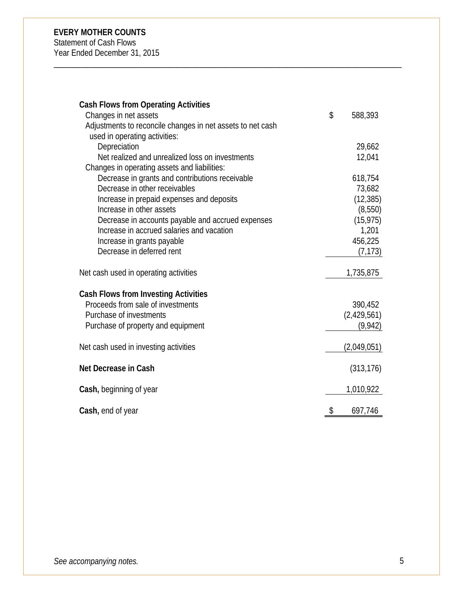Statement of Cash Flows

Year Ended December 31, 2015 \_\_\_\_\_\_\_\_\_\_\_\_\_\_\_\_\_\_\_\_\_\_\_\_\_\_\_\_\_\_\_\_\_\_\_\_\_\_\_\_\_\_\_\_\_\_\_\_\_\_\_\_\_\_\_\_\_\_\_\_\_\_\_\_\_\_\_\_\_\_\_\_\_\_\_\_\_\_\_\_\_\_\_\_\_

| <b>Cash Flows from Operating Activities</b>                                                 |               |
|---------------------------------------------------------------------------------------------|---------------|
| Changes in net assets                                                                       | \$<br>588,393 |
| Adjustments to reconcile changes in net assets to net cash<br>used in operating activities: |               |
| Depreciation                                                                                | 29,662        |
| Net realized and unrealized loss on investments                                             | 12,041        |
| Changes in operating assets and liabilities:                                                |               |
| Decrease in grants and contributions receivable                                             | 618,754       |
| Decrease in other receivables                                                               | 73,682        |
| Increase in prepaid expenses and deposits                                                   | (12, 385)     |
| Increase in other assets                                                                    | (8,550)       |
| Decrease in accounts payable and accrued expenses                                           | (15, 975)     |
| Increase in accrued salaries and vacation                                                   | 1,201         |
| Increase in grants payable                                                                  | 456,225       |
| Decrease in deferred rent                                                                   | (7, 173)      |
| Net cash used in operating activities                                                       | 1,735,875     |
| <b>Cash Flows from Investing Activities</b>                                                 |               |
| Proceeds from sale of investments                                                           | 390,452       |
| Purchase of investments                                                                     | (2,429,561)   |
| Purchase of property and equipment                                                          | (9, 942)      |
| Net cash used in investing activities                                                       | (2,049,051)   |
| Net Decrease in Cash                                                                        | (313, 176)    |
| Cash, beginning of year                                                                     | 1,010,922     |
| Cash, end of year                                                                           | \$<br>697,746 |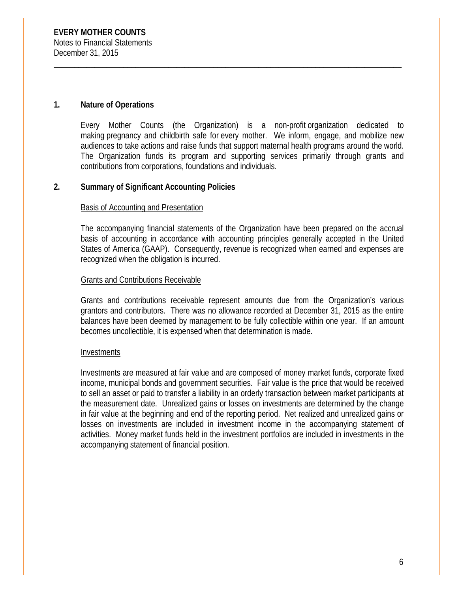#### **1. Nature of Operations**

Every Mother Counts (the Organization) is a non-profit organization dedicated to making pregnancy and childbirth safe for every mother. We inform, engage, and mobilize new audiences to take actions and raise funds that support maternal health programs around the world. The Organization funds its program and supporting services primarily through grants and contributions from corporations, foundations and individuals.

\_\_\_\_\_\_\_\_\_\_\_\_\_\_\_\_\_\_\_\_\_\_\_\_\_\_\_\_\_\_\_\_\_\_\_\_\_\_\_\_\_\_\_\_\_\_\_\_\_\_\_\_\_\_\_\_\_\_\_\_\_\_\_\_\_\_\_\_\_\_\_\_\_\_\_\_\_\_\_\_\_\_\_\_\_

#### **2. Summary of Significant Accounting Policies**

#### Basis of Accounting and Presentation

The accompanying financial statements of the Organization have been prepared on the accrual basis of accounting in accordance with accounting principles generally accepted in the United States of America (GAAP). Consequently, revenue is recognized when earned and expenses are recognized when the obligation is incurred.

#### Grants and Contributions Receivable

Grants and contributions receivable represent amounts due from the Organization's various grantors and contributors. There was no allowance recorded at December 31, 2015 as the entire balances have been deemed by management to be fully collectible within one year. If an amount becomes uncollectible, it is expensed when that determination is made.

#### Investments

Investments are measured at fair value and are composed of money market funds, corporate fixed income, municipal bonds and government securities. Fair value is the price that would be received to sell an asset or paid to transfer a liability in an orderly transaction between market participants at the measurement date. Unrealized gains or losses on investments are determined by the change in fair value at the beginning and end of the reporting period. Net realized and unrealized gains or losses on investments are included in investment income in the accompanying statement of activities. Money market funds held in the investment portfolios are included in investments in the accompanying statement of financial position.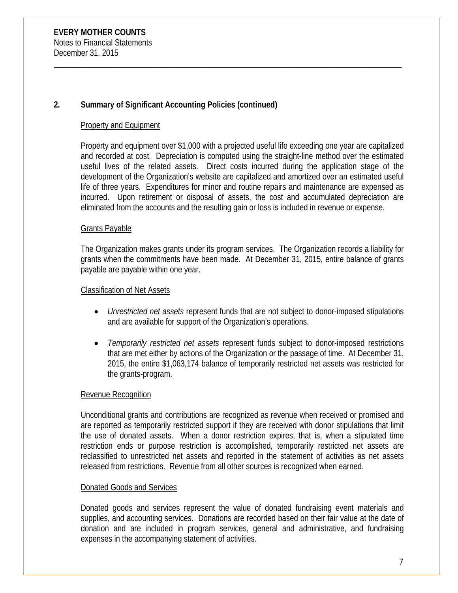# **2. Summary of Significant Accounting Policies (continued)**

#### Property and Equipment

Property and equipment over \$1,000 with a projected useful life exceeding one year are capitalized and recorded at cost. Depreciation is computed using the straight-line method over the estimated useful lives of the related assets. Direct costs incurred during the application stage of the development of the Organization's website are capitalized and amortized over an estimated useful life of three years. Expenditures for minor and routine repairs and maintenance are expensed as incurred. Upon retirement or disposal of assets, the cost and accumulated depreciation are eliminated from the accounts and the resulting gain or loss is included in revenue or expense.

\_\_\_\_\_\_\_\_\_\_\_\_\_\_\_\_\_\_\_\_\_\_\_\_\_\_\_\_\_\_\_\_\_\_\_\_\_\_\_\_\_\_\_\_\_\_\_\_\_\_\_\_\_\_\_\_\_\_\_\_\_\_\_\_\_\_\_\_\_\_\_\_\_\_\_\_\_\_\_\_\_\_\_\_\_

#### Grants Payable

The Organization makes grants under its program services. The Organization records a liability for grants when the commitments have been made. At December 31, 2015, entire balance of grants payable are payable within one year.

#### Classification of Net Assets

- *Unrestricted net assets* represent funds that are not subject to donor-imposed stipulations and are available for support of the Organization's operations.
- *Temporarily restricted net assets* represent funds subject to donor-imposed restrictions that are met either by actions of the Organization or the passage of time. At December 31, 2015, the entire \$1,063,174 balance of temporarily restricted net assets was restricted for the grants-program.

## Revenue Recognition

Unconditional grants and contributions are recognized as revenue when received or promised and are reported as temporarily restricted support if they are received with donor stipulations that limit the use of donated assets. When a donor restriction expires, that is, when a stipulated time restriction ends or purpose restriction is accomplished, temporarily restricted net assets are reclassified to unrestricted net assets and reported in the statement of activities as net assets released from restrictions. Revenue from all other sources is recognized when earned.

#### Donated Goods and Services

Donated goods and services represent the value of donated fundraising event materials and supplies, and accounting services. Donations are recorded based on their fair value at the date of donation and are included in program services, general and administrative, and fundraising expenses in the accompanying statement of activities.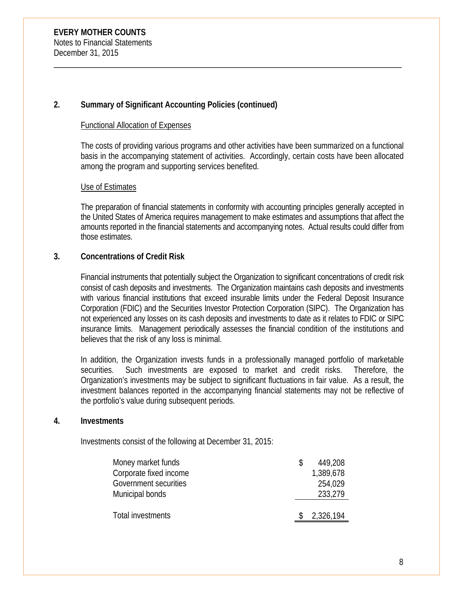## **2. Summary of Significant Accounting Policies (continued)**

#### Functional Allocation of Expenses

The costs of providing various programs and other activities have been summarized on a functional basis in the accompanying statement of activities. Accordingly, certain costs have been allocated among the program and supporting services benefited.

\_\_\_\_\_\_\_\_\_\_\_\_\_\_\_\_\_\_\_\_\_\_\_\_\_\_\_\_\_\_\_\_\_\_\_\_\_\_\_\_\_\_\_\_\_\_\_\_\_\_\_\_\_\_\_\_\_\_\_\_\_\_\_\_\_\_\_\_\_\_\_\_\_\_\_\_\_\_\_\_\_\_\_\_\_

#### Use of Estimates

The preparation of financial statements in conformity with accounting principles generally accepted in the United States of America requires management to make estimates and assumptions that affect the amounts reported in the financial statements and accompanying notes. Actual results could differ from those estimates.

## **3. Concentrations of Credit Risk**

Financial instruments that potentially subject the Organization to significant concentrations of credit risk consist of cash deposits and investments. The Organization maintains cash deposits and investments with various financial institutions that exceed insurable limits under the Federal Deposit Insurance Corporation (FDIC) and the Securities Investor Protection Corporation (SIPC). The Organization has not experienced any losses on its cash deposits and investments to date as it relates to FDIC or SIPC insurance limits. Management periodically assesses the financial condition of the institutions and believes that the risk of any loss is minimal.

In addition, the Organization invests funds in a professionally managed portfolio of marketable securities. Such investments are exposed to market and credit risks. Therefore, the Organization's investments may be subject to significant fluctuations in fair value. As a result, the investment balances reported in the accompanying financial statements may not be reflective of the portfolio's value during subsequent periods.

#### **4. Investments**

Investments consist of the following at December 31, 2015:

| Money market funds     | S. | 449,208   |
|------------------------|----|-----------|
| Corporate fixed income |    | 1,389,678 |
| Government securities  |    | 254,029   |
| Municipal bonds        |    | 233,279   |
|                        |    |           |
| Total investments      |    | 2,326,194 |
|                        |    |           |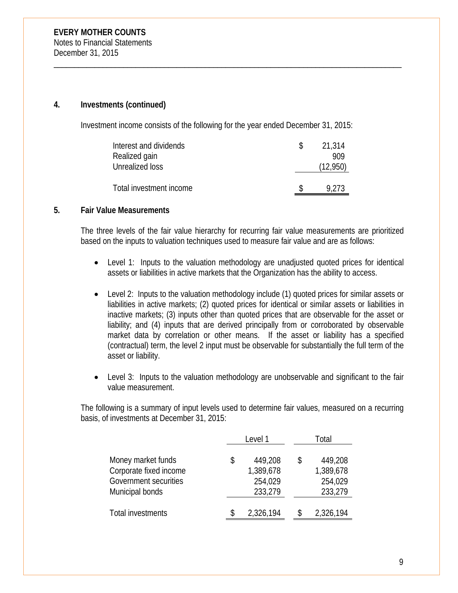#### **4. Investments (continued)**

Investment income consists of the following for the year ended December 31, 2015:

| Interest and dividends<br>Realized gain<br>Unrealized loss | 21,314<br>909<br>(12,950) |
|------------------------------------------------------------|---------------------------|
| Total investment income                                    | 9.273                     |

\_\_\_\_\_\_\_\_\_\_\_\_\_\_\_\_\_\_\_\_\_\_\_\_\_\_\_\_\_\_\_\_\_\_\_\_\_\_\_\_\_\_\_\_\_\_\_\_\_\_\_\_\_\_\_\_\_\_\_\_\_\_\_\_\_\_\_\_\_\_\_\_\_\_\_\_\_\_\_\_\_\_\_\_\_

#### **5. Fair Value Measurements**

The three levels of the fair value hierarchy for recurring fair value measurements are prioritized based on the inputs to valuation techniques used to measure fair value and are as follows:

- Level 1: Inputs to the valuation methodology are unadjusted quoted prices for identical assets or liabilities in active markets that the Organization has the ability to access.
- Level 2: Inputs to the valuation methodology include (1) quoted prices for similar assets or liabilities in active markets; (2) quoted prices for identical or similar assets or liabilities in inactive markets; (3) inputs other than quoted prices that are observable for the asset or liability; and (4) inputs that are derived principally from or corroborated by observable market data by correlation or other means. If the asset or liability has a specified (contractual) term, the level 2 input must be observable for substantially the full term of the asset or liability.
- Level 3: Inputs to the valuation methodology are unobservable and significant to the fair value measurement.

The following is a summary of input levels used to determine fair values, measured on a recurring basis, of investments at December 31, 2015:

|                                                                                          | Level 1 |                                            | Total                                            |
|------------------------------------------------------------------------------------------|---------|--------------------------------------------|--------------------------------------------------|
| Money market funds<br>Corporate fixed income<br>Government securities<br>Municipal bonds | \$      | 449,208<br>1,389,678<br>254,029<br>233,279 | \$<br>449,208<br>1,389,678<br>254,029<br>233,279 |
| Total investments                                                                        |         | 2,326,194                                  | 2,326,194                                        |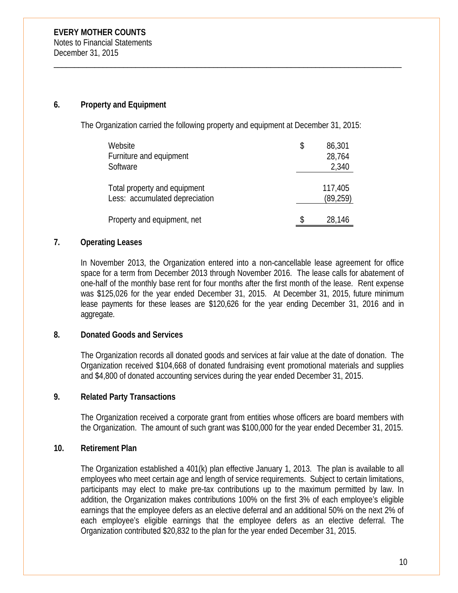## **6. Property and Equipment**

The Organization carried the following property and equipment at December 31, 2015:

\_\_\_\_\_\_\_\_\_\_\_\_\_\_\_\_\_\_\_\_\_\_\_\_\_\_\_\_\_\_\_\_\_\_\_\_\_\_\_\_\_\_\_\_\_\_\_\_\_\_\_\_\_\_\_\_\_\_\_\_\_\_\_\_\_\_\_\_\_\_\_\_\_\_\_\_\_\_\_\_\_\_\_\_\_

| Website<br>Furniture and equipment<br>Software                 | \$<br>86,301<br>28,764<br>2,340 |
|----------------------------------------------------------------|---------------------------------|
| Total property and equipment<br>Less: accumulated depreciation | 117,405<br>(89, 259)            |
| Property and equipment, net                                    | 28,146                          |

## **7. Operating Leases**

In November 2013, the Organization entered into a non-cancellable lease agreement for office space for a term from December 2013 through November 2016. The lease calls for abatement of one-half of the monthly base rent for four months after the first month of the lease. Rent expense was \$125,026 for the year ended December 31, 2015. At December 31, 2015, future minimum lease payments for these leases are \$120,626 for the year ending December 31, 2016 and in aggregate.

## **8. Donated Goods and Services**

The Organization records all donated goods and services at fair value at the date of donation. The Organization received \$104,668 of donated fundraising event promotional materials and supplies and \$4,800 of donated accounting services during the year ended December 31, 2015.

## **9. Related Party Transactions**

The Organization received a corporate grant from entities whose officers are board members with the Organization. The amount of such grant was \$100,000 for the year ended December 31, 2015.

## **10. Retirement Plan**

The Organization established a 401(k) plan effective January 1, 2013. The plan is available to all employees who meet certain age and length of service requirements. Subject to certain limitations, participants may elect to make pre-tax contributions up to the maximum permitted by law. In addition, the Organization makes contributions 100% on the first 3% of each employee's eligible earnings that the employee defers as an elective deferral and an additional 50% on the next 2% of each employee's eligible earnings that the employee defers as an elective deferral. The Organization contributed \$20,832 to the plan for the year ended December 31, 2015.